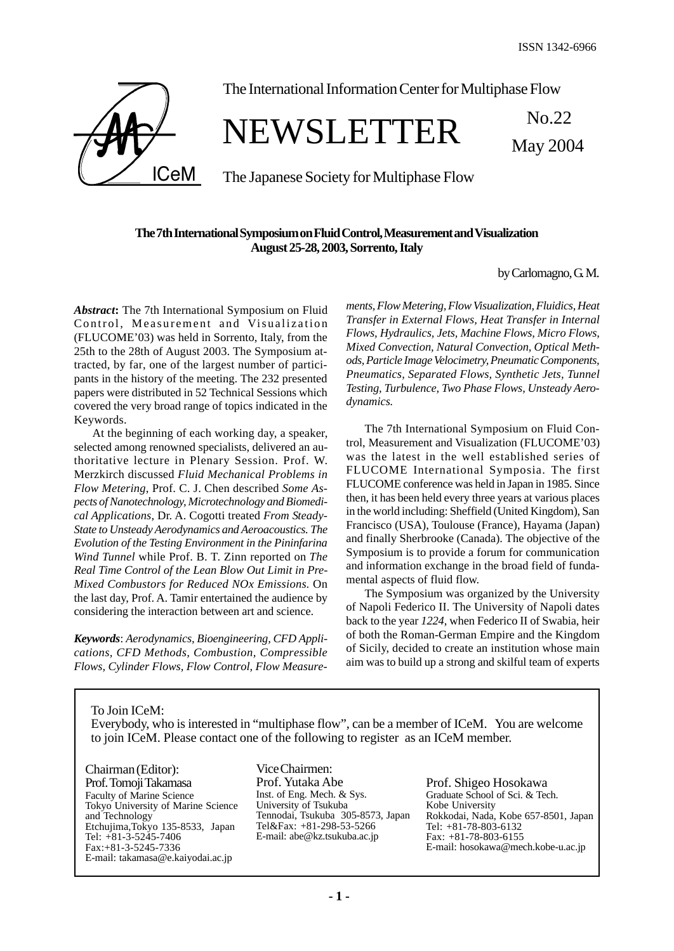

The International Information Center for Multiphase Flow

# NEWSLETTER No.22

The Japanese Society for Multiphase Flow

# **The 7th International Symposium on Fluid Control, Measurement and Visualization August 25-28, 2003, Sorrento, Italy**

by Carlomagno, G.M.

May 2004

*Abstract***:** The 7th International Symposium on Fluid Control, Measurement and Visualization (FLUCOME'03) was held in Sorrento, Italy, from the 25th to the 28th of August 2003. The Symposium attracted, by far, one of the largest number of participants in the history of the meeting. The 232 presented papers were distributed in 52 Technical Sessions which covered the very broad range of topics indicated in the Keywords.

At the beginning of each working day, a speaker, selected among renowned specialists, delivered an authoritative lecture in Plenary Session. Prof. W. Merzkirch discussed *Fluid Mechanical Problems in Flow Metering*, Prof. C. J. Chen described *Some Aspects of Nanotechnology, Microtechnology and Biomedical Applications*, Dr. A. Cogotti treated *From Steady-State to Unsteady Aerodynamics and Aeroacoustics. The Evolution of the Testing Environment in the Pininfarina Wind Tunnel* while Prof. B. T. Zinn reported on *The Real Time Control of the Lean Blow Out Limit in Pre-Mixed Combustors for Reduced NOx Emissions.* On the last day, Prof. A. Tamir entertained the audience by considering the interaction between art and science.

*Keywords*: *Aerodynamics, Bioengineering, CFD Applications, CFD Methods, Combustion, Compressible Flows, Cylinder Flows, Flow Control, Flow Measure-* *ments, Flow Metering, Flow Visualization, Fluidics, Heat Transfer in External Flows, Heat Transfer in Internal Flows, Hydraulics, Jets, Machine Flows, Micro Flows, Mixed Convection, Natural Convection, Optical Methods, Particle Image Velocimetry, Pneumatic Components, Pneumatics, Separated Flows, Synthetic Jets, Tunnel Testing, Turbulence, Two Phase Flows, Unsteady Aerodynamics.*

The 7th International Symposium on Fluid Control, Measurement and Visualization (FLUCOME'03) was the latest in the well established series of FLUCOME International Symposia. The first FLUCOME conference was held in Japan in 1985. Since then, it has been held every three years at various places in the world including: Sheffield (United Kingdom), San Francisco (USA), Toulouse (France), Hayama (Japan) and finally Sherbrooke (Canada). The objective of the Symposium is to provide a forum for communication and information exchange in the broad field of fundamental aspects of fluid flow.

The Symposium was organized by the University of Napoli Federico II. The University of Napoli dates back to the year *1224*, when Federico II of Swabia, heir of both the Roman-German Empire and the Kingdom of Sicily, decided to create an institution whose main aim was to build up a strong and skilful team of experts

To Join ICeM:

Everybody, who is interested in "multiphase flow", can be a member of ICeM. You are welcome to join ICeM. Please contact one of the following to register as an ICeM member.

Chairman (Editor): Prof. Tomoji Takamasa Faculty of Marine Science Tokyo University of Marine Science and Technology Etchujima,Tokyo 135-8533, Japan Tel: +81-3-5245-7406 Fax:+81-3-5245-7336 E-mail: takamasa@e.kaiyodai.ac.jp

Vice Chairmen: Prof. Yutaka Abe Inst. of Eng. Mech. & Sys. University of Tsukuba Tennodai, Tsukuba 305-8573, Japan Tel&Fax: +81-298-53-5266 E-mail: abe@kz.tsukuba.ac.jp

Prof. Shigeo Hosokawa Graduate School of Sci. & Tech. Kobe University Rokkodai, Nada, Kobe 657-8501, Japan Tel: +81-78-803-6132 Fax: +81-78-803-6155 E-mail: hosokawa@mech.kobe-u.ac.jp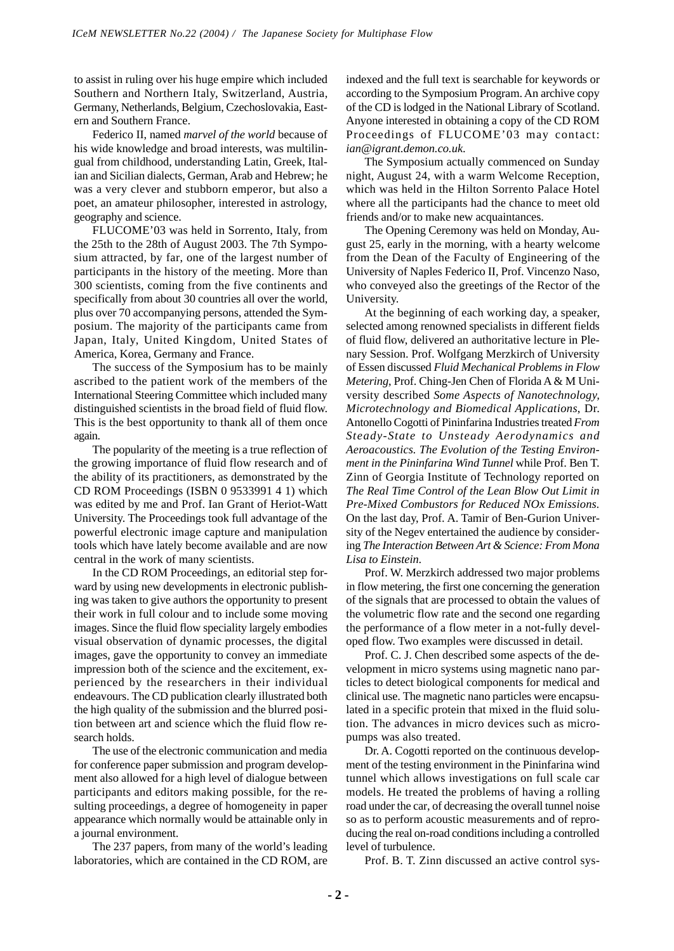to assist in ruling over his huge empire which included Southern and Northern Italy, Switzerland, Austria, Germany, Netherlands, Belgium, Czechoslovakia, Eastern and Southern France.

Federico II, named *marvel of the world* because of his wide knowledge and broad interests, was multilingual from childhood, understanding Latin, Greek, Italian and Sicilian dialects, German, Arab and Hebrew; he was a very clever and stubborn emperor, but also a poet, an amateur philosopher, interested in astrology, geography and science.

FLUCOME'03 was held in Sorrento, Italy, from the 25th to the 28th of August 2003. The 7th Symposium attracted, by far, one of the largest number of participants in the history of the meeting. More than 300 scientists, coming from the five continents and specifically from about 30 countries all over the world, plus over 70 accompanying persons, attended the Symposium. The majority of the participants came from Japan, Italy, United Kingdom, United States of America, Korea, Germany and France.

The success of the Symposium has to be mainly ascribed to the patient work of the members of the International Steering Committee which included many distinguished scientists in the broad field of fluid flow. This is the best opportunity to thank all of them once again.

The popularity of the meeting is a true reflection of the growing importance of fluid flow research and of the ability of its practitioners, as demonstrated by the CD ROM Proceedings (ISBN 0 9533991 4 1) which was edited by me and Prof. Ian Grant of Heriot-Watt University. The Proceedings took full advantage of the powerful electronic image capture and manipulation tools which have lately become available and are now central in the work of many scientists.

In the CD ROM Proceedings, an editorial step forward by using new developments in electronic publishing was taken to give authors the opportunity to present their work in full colour and to include some moving images. Since the fluid flow speciality largely embodies visual observation of dynamic processes, the digital images, gave the opportunity to convey an immediate impression both of the science and the excitement, experienced by the researchers in their individual endeavours. The CD publication clearly illustrated both the high quality of the submission and the blurred position between art and science which the fluid flow research holds.

The use of the electronic communication and media for conference paper submission and program development also allowed for a high level of dialogue between participants and editors making possible, for the resulting proceedings, a degree of homogeneity in paper appearance which normally would be attainable only in a journal environment.

The 237 papers, from many of the world's leading laboratories, which are contained in the CD ROM, are indexed and the full text is searchable for keywords or according to the Symposium Program. An archive copy of the CD is lodged in the National Library of Scotland. Anyone interested in obtaining a copy of the CD ROM Proceedings of FLUCOME'03 may contact: *ian@igrant.demon.co.uk*.

The Symposium actually commenced on Sunday night, August 24, with a warm Welcome Reception, which was held in the Hilton Sorrento Palace Hotel where all the participants had the chance to meet old friends and/or to make new acquaintances.

The Opening Ceremony was held on Monday, August 25, early in the morning, with a hearty welcome from the Dean of the Faculty of Engineering of the University of Naples Federico II, Prof. Vincenzo Naso, who conveyed also the greetings of the Rector of the University.

At the beginning of each working day, a speaker, selected among renowned specialists in different fields of fluid flow, delivered an authoritative lecture in Plenary Session. Prof. Wolfgang Merzkirch of University of Essen discussed *Fluid Mechanical Problems in Flow Metering*, Prof. Ching-Jen Chen of Florida A & M University described *Some Aspects of Nanotechnology, Microtechnology and Biomedical Applications*, Dr. Antonello Cogotti of Pininfarina Industries treated *From Steady-State to Unsteady Aerodynamics and Aeroacoustics. The Evolution of the Testing Environment in the Pininfarina Wind Tunnel* while Prof. Ben T. Zinn of Georgia Institute of Technology reported on *The Real Time Control of the Lean Blow Out Limit in Pre-Mixed Combustors for Reduced NOx Emissions.* On the last day, Prof. A. Tamir of Ben-Gurion University of the Negev entertained the audience by considering *The Interaction Between Art & Science: From Mona Lisa to Einstein*.

Prof. W. Merzkirch addressed two major problems in flow metering, the first one concerning the generation of the signals that are processed to obtain the values of the volumetric flow rate and the second one regarding the performance of a flow meter in a not-fully developed flow. Two examples were discussed in detail.

Prof. C. J. Chen described some aspects of the development in micro systems using magnetic nano particles to detect biological components for medical and clinical use. The magnetic nano particles were encapsulated in a specific protein that mixed in the fluid solution. The advances in micro devices such as micropumps was also treated.

Dr. A. Cogotti reported on the continuous development of the testing environment in the Pininfarina wind tunnel which allows investigations on full scale car models. He treated the problems of having a rolling road under the car, of decreasing the overall tunnel noise so as to perform acoustic measurements and of reproducing the real on-road conditions including a controlled level of turbulence.

Prof. B. T. Zinn discussed an active control sys-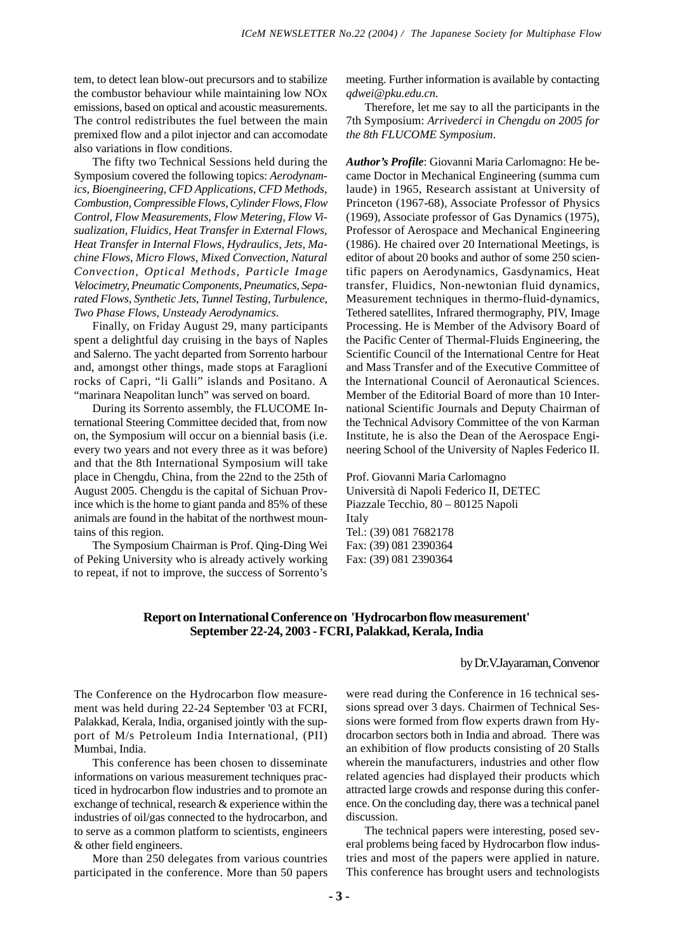tem, to detect lean blow-out precursors and to stabilize the combustor behaviour while maintaining low NOx emissions, based on optical and acoustic measurements. The control redistributes the fuel between the main premixed flow and a pilot injector and can accomodate also variations in flow conditions.

The fifty two Technical Sessions held during the Symposium covered the following topics: *Aerodynamics, Bioengineering, CFD Applications, CFD Methods, Combustion, Compressible Flows, Cylinder Flows, Flow Control, Flow Measurements, Flow Metering, Flow Visualization, Fluidics, Heat Transfer in External Flows, Heat Transfer in Internal Flows, Hydraulics, Jets, Machine Flows, Micro Flows, Mixed Convection, Natural Convection, Optical Methods, Particle Image Velocimetry, Pneumatic Components, Pneumatics, Separated Flows, Synthetic Jets, Tunnel Testing, Turbulence, Two Phase Flows, Unsteady Aerodynamics*.

Finally, on Friday August 29, many participants spent a delightful day cruising in the bays of Naples and Salerno. The yacht departed from Sorrento harbour and, amongst other things, made stops at Faraglioni rocks of Capri, "li Galli" islands and Positano. A "marinara Neapolitan lunch" was served on board.

During its Sorrento assembly, the FLUCOME International Steering Committee decided that, from now on, the Symposium will occur on a biennial basis (i.e. every two years and not every three as it was before) and that the 8th International Symposium will take place in Chengdu, China, from the 22nd to the 25th of August 2005. Chengdu is the capital of Sichuan Province which is the home to giant panda and 85% of these animals are found in the habitat of the northwest mountains of this region.

The Symposium Chairman is Prof. Qing-Ding Wei of Peking University who is already actively working to repeat, if not to improve, the success of Sorrento's meeting. Further information is available by contacting *qdwei@pku.edu.cn*.

Therefore, let me say to all the participants in the 7th Symposium: *Arrivederci in Chengdu on 2005 for the 8th FLUCOME Symposium*.

*Author's Profile*: Giovanni Maria Carlomagno: He became Doctor in Mechanical Engineering (summa cum laude) in 1965, Research assistant at University of Princeton (1967-68), Associate Professor of Physics (1969), Associate professor of Gas Dynamics (1975), Professor of Aerospace and Mechanical Engineering (1986). He chaired over 20 International Meetings, is editor of about 20 books and author of some 250 scientific papers on Aerodynamics, Gasdynamics, Heat transfer, Fluidics, Non-newtonian fluid dynamics, Measurement techniques in thermo-fluid-dynamics, Tethered satellites, Infrared thermography, PIV, Image Processing. He is Member of the Advisory Board of the Pacific Center of Thermal-Fluids Engineering, the Scientific Council of the International Centre for Heat and Mass Transfer and of the Executive Committee of the International Council of Aeronautical Sciences. Member of the Editorial Board of more than 10 International Scientific Journals and Deputy Chairman of the Technical Advisory Committee of the von Karman Institute, he is also the Dean of the Aerospace Engineering School of the University of Naples Federico II.

Prof. Giovanni Maria Carlomagno Università di Napoli Federico II, DETEC Piazzale Tecchio, 80 – 80125 Napoli Italy Tel.: (39) 081 7682178 Fax: (39) 081 2390364 Fax: (39) 081 2390364

# **Report on International Conference on 'Hydrocarbon flow measurement' September 22-24, 2003 - FCRI, Palakkad, Kerala, India**

### by Dr.V.Jayaraman, Convenor

The Conference on the Hydrocarbon flow measurement was held during 22-24 September '03 at FCRI, Palakkad, Kerala, India, organised jointly with the support of M/s Petroleum India International, (PII) Mumbai, India.

This conference has been chosen to disseminate informations on various measurement techniques practiced in hydrocarbon flow industries and to promote an exchange of technical, research & experience within the industries of oil/gas connected to the hydrocarbon, and to serve as a common platform to scientists, engineers & other field engineers.

More than 250 delegates from various countries participated in the conference. More than 50 papers were read during the Conference in 16 technical sessions spread over 3 days. Chairmen of Technical Sessions were formed from flow experts drawn from Hydrocarbon sectors both in India and abroad. There was an exhibition of flow products consisting of 20 Stalls wherein the manufacturers, industries and other flow related agencies had displayed their products which attracted large crowds and response during this conference. On the concluding day, there was a technical panel discussion.

The technical papers were interesting, posed several problems being faced by Hydrocarbon flow industries and most of the papers were applied in nature. This conference has brought users and technologists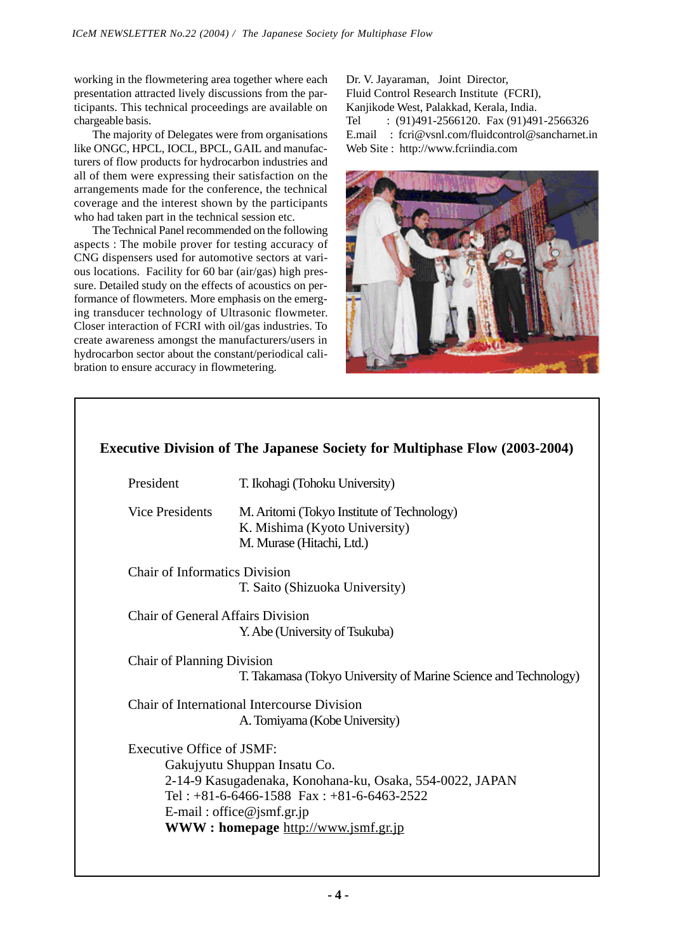working in the flowmetering area together where each presentation attracted lively discussions from the participants. This technical proceedings are available on chargeable basis.

The majority of Delegates were from organisations like ONGC, HPCL, IOCL, BPCL, GAIL and manufacturers of flow products for hydrocarbon industries and all of them were expressing their satisfaction on the arrangements made for the conference, the technical coverage and the interest shown by the participants who had taken part in the technical session etc.

The Technical Panel recommended on the following aspects : The mobile prover for testing accuracy of CNG dispensers used for automotive sectors at various locations. Facility for 60 bar (air/gas) high pressure. Detailed study on the effects of acoustics on performance of flowmeters. More emphasis on the emerging transducer technology of Ultrasonic flowmeter. Closer interaction of FCRI with oil/gas industries. To create awareness amongst the manufacturers/users in hydrocarbon sector about the constant/periodical calibration to ensure accuracy in flowmetering.

Dr. V. Jayaraman, Joint Director, Fluid Control Research Institute (FCRI), Kanjikode West, Palakkad, Kerala, India. Tel : (91)491-2566120. Fax (91)491-2566326 E.mail : fcri@vsnl.com/fluidcontrol@sancharnet.in Web Site : http://www.fcriindia.com



| President                                | T. Ikohagi (Tohoku University)                                                                           |
|------------------------------------------|----------------------------------------------------------------------------------------------------------|
| <b>Vice Presidents</b>                   | M. Aritomi (Tokyo Institute of Technology)<br>K. Mishima (Kyoto University)<br>M. Murase (Hitachi, Ltd.) |
| <b>Chair of Informatics Division</b>     |                                                                                                          |
|                                          | T. Saito (Shizuoka University)                                                                           |
| <b>Chair of General Affairs Division</b> |                                                                                                          |
|                                          | Y. Abe (University of Tsukuba)                                                                           |
| <b>Chair of Planning Division</b>        |                                                                                                          |
|                                          | T. Takamasa (Tokyo University of Marine Science and Technology)                                          |
|                                          | Chair of International Intercourse Division                                                              |
|                                          | A. Tomiyama (Kobe University)                                                                            |
| Executive Office of ISMF.                |                                                                                                          |
|                                          | Gakujyutu Shuppan Insatu Co.                                                                             |
|                                          | 2-14-9 Kasugadenaka, Konohana-ku, Osaka, 554-0022, JAPAN                                                 |
|                                          | Tel: $+81-6-6466-1588$ Fax: $+81-6-6463-2522$                                                            |
|                                          | E-mail: office@jsmf.gr.jp                                                                                |
|                                          | <b>WWW: homepage http://www.jsmf.gr.jp</b>                                                               |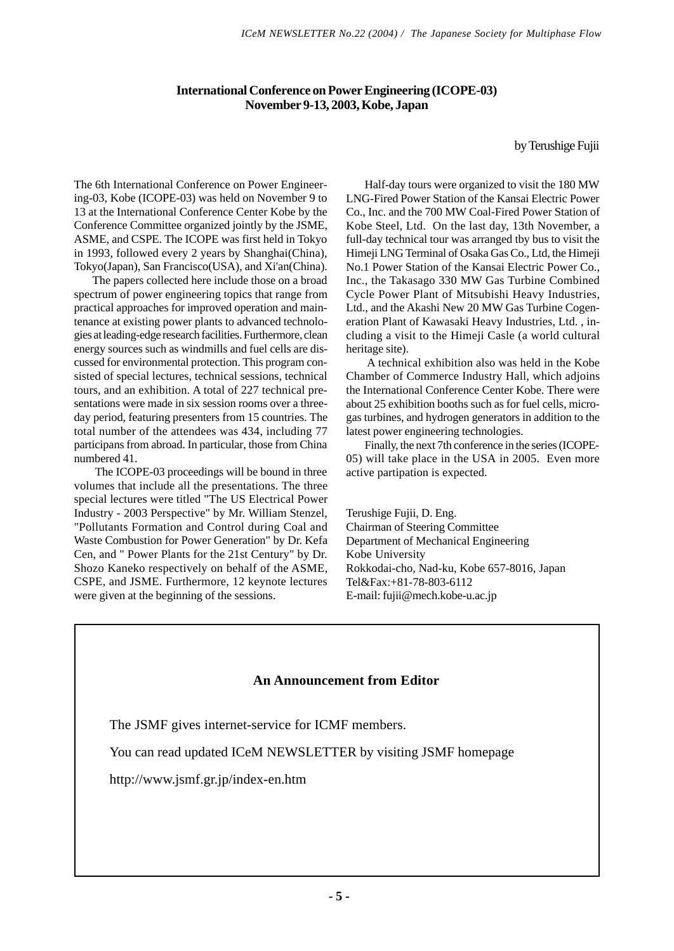# **International Conference on Power Engineering (ICOPE-03) November 9-13, 2003, Kobe, Japan**

by Terushige Fujii

The 6th International Conference on Power Engineering-03, Kobe (ICOPE-03) was held on November 9 to 13 at the International Conference Center Kobe by the Conference Committee organized jointly by the JSME, ASME, and CSPE. The ICOPE was first held in Tokyo in 1993, followed every 2 years by Shanghai(China), Tokyo(Japan), San Francisco(USA), and Xi'an(China).

The papers collected here include those on a broad spectrum of power engineering topics that range from practical approaches for improved operation and maintenance at existing power plants to advanced technologies at leading-edge research facilities. Furthermore, clean energy sources such as windmills and fuel cells are discussed for environmental protection. This program consisted of special lectures, technical sessions, technical tours, and an exhibition. A total of 227 technical presentations were made in six session rooms over a threeday period, featuring presenters from 15 countries. The total number of the attendees was 434, including 77 participans from abroad. In particular, those from China numbered 41.

 The ICOPE-03 proceedings will be bound in three volumes that include all the presentations. The three special lectures were titled "The US Electrical Power Industry - 2003 Perspective" by Mr. William Stenzel, "Pollutants Formation and Control during Coal and Waste Combustion for Power Generation" by Dr. Kefa Cen, and " Power Plants for the 21st Century" by Dr. Shozo Kaneko respectively on behalf of the ASME, CSPE, and JSME. Furthermore, 12 keynote lectures were given at the beginning of the sessions.

Half-day tours were organized to visit the 180 MW LNG-Fired Power Station of the Kansai Electric Power Co., Inc. and the 700 MW Coal-Fired Power Station of Kobe Steel, Ltd. On the last day, 13th November, a full-day technical tour was arranged tby bus to visit the Himeji LNG Terminal of Osaka Gas Co., Ltd, the Himeji No.1 Power Station of the Kansai Electric Power Co., Inc., the Takasago 330 MW Gas Turbine Combined Cycle Power Plant of Mitsubishi Heavy Industries, Ltd., and the Akashi New 20 MW Gas Turbine Cogeneration Plant of Kawasaki Heavy Industries, Ltd. , including a visit to the Himeji Casle (a world cultural heritage site).

 A technical exhibition also was held in the Kobe Chamber of Commerce Industry Hall, which adjoins the International Conference Center Kobe. There were about 25 exhibition booths such as for fuel cells, microgas turbines, and hydrogen generators in addition to the latest power engineering technologies.

Finally, the next 7th conference in the series (ICOPE-05) will take place in the USA in 2005. Even more active partipation is expected.

Terushige Fujii, D. Eng. Chairman of Steering Committee Department of Mechanical Engineering Kobe University Rokkodai-cho, Nad-ku, Kobe 657-8016, Japan Tel&Fax:+81-78-803-6112 E-mail: fujii@mech.kobe-u.ac.jp

# **An Announcement from Editor**

The JSMF gives internet-service for ICMF members.

You can read updated ICeM NEWSLETTER by visiting JSMF homepage

http://www.jsmf.gr.jp/index-en.htm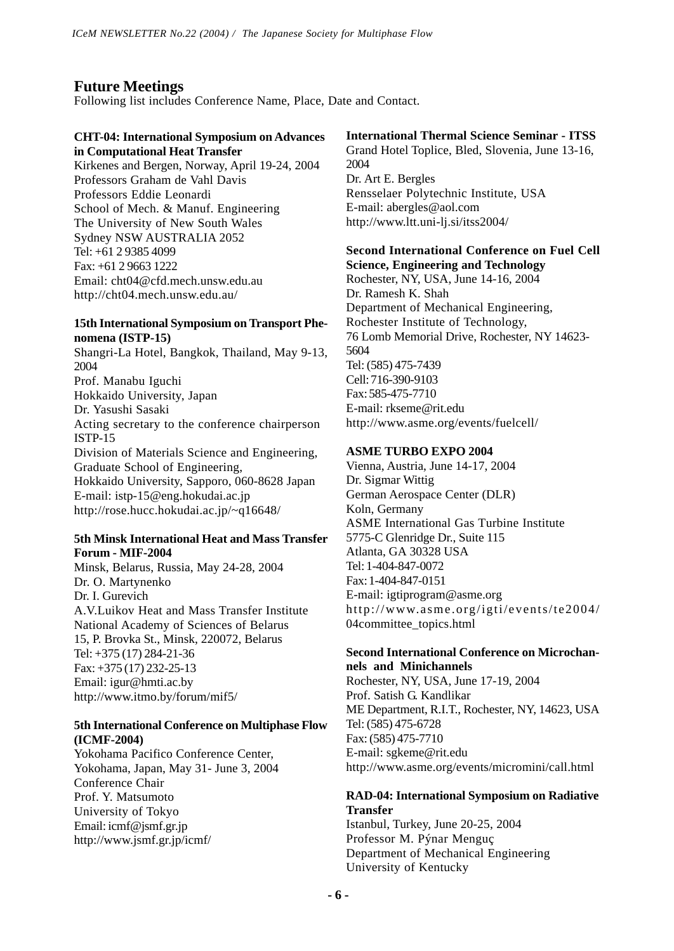# **Future Meetings**

Following list includes Conference Name, Place, Date and Contact.

# **CHT-04: International Symposium on Advances in Computational Heat Transfer**

Kirkenes and Bergen, Norway, April 19-24, 2004 Professors Graham de Vahl Davis Professors Eddie Leonardi School of Mech. & Manuf. Engineering The University of New South Wales Sydney NSW AUSTRALIA 2052 Tel: +61 2 9385 4099 Fax: +61 2 9663 1222 Email: cht04@cfd.mech.unsw.edu.au http://cht04.mech.unsw.edu.au/

## **15th International Symposium on Transport Phenomena (ISTP-15)**

Shangri-La Hotel, Bangkok, Thailand, May 9-13, 2004 Prof. Manabu Iguchi Hokkaido University, Japan Dr. Yasushi Sasaki Acting secretary to the conference chairperson ISTP-15 Division of Materials Science and Engineering, Graduate School of Engineering, Hokkaido University, Sapporo, 060-8628 Japan E-mail: istp-15@eng.hokudai.ac.jp http://rose.hucc.hokudai.ac.jp/~q16648/

### **5th Minsk International Heat and Mass Transfer Forum - MIF-2004**

Minsk, Belarus, Russia, May 24-28, 2004 Dr. O. Martynenko Dr. I. Gurevich A.V.Luikov Heat and Mass Transfer Institute National Academy of Sciences of Belarus 15, P. Brovka St., Minsk, 220072, Belarus Tel: +375 (17) 284-21-36 Fax: +375 (17) 232-25-13 Email: igur@hmti.ac.by http://www.itmo.by/forum/mif5/

# **5th International Conference on Multiphase Flow (ICMF-2004)**

Yokohama Pacifico Conference Center, Yokohama, Japan, May 31- June 3, 2004 Conference Chair Prof. Y. Matsumoto University of Tokyo Email: icmf@jsmf.gr.jp http://www.jsmf.gr.jp/icmf/

# **International Thermal Science Seminar - ITSS**

Grand Hotel Toplice, Bled, Slovenia, June 13-16, 2004 Dr. Art E. Bergles Rensselaer Polytechnic Institute, USA E-mail: abergles@aol.com http://www.ltt.uni-lj.si/itss2004/

# **Second International Conference on Fuel Cell Science, Engineering and Technology**

Rochester, NY, USA, June 14-16, 2004 Dr. Ramesh K. Shah Department of Mechanical Engineering, Rochester Institute of Technology, 76 Lomb Memorial Drive, Rochester, NY 14623- 5604 Tel: (585) 475-7439 Cell: 716-390-9103 Fax: 585-475-7710 E-mail: rkseme@rit.edu http://www.asme.org/events/fuelcell/

# **ASME TURBO EXPO 2004**

Vienna, Austria, June 14-17, 2004 Dr. Sigmar Wittig German Aerospace Center (DLR) Koln, Germany ASME International Gas Turbine Institute 5775-C Glenridge Dr., Suite 115 Atlanta, GA 30328 USA Tel: 1-404-847-0072 Fax: 1-404-847-0151 E-mail: igtiprogram@asme.org http://www.asme.org/igti/events/te2004/ 04committee\_topics.html

### **Second International Conference on Microchannels and Minichannels**

Rochester, NY, USA, June 17-19, 2004 Prof. Satish G. Kandlikar ME Department, R.I.T., Rochester, NY, 14623, USA Tel: (585) 475-6728 Fax: (585) 475-7710 E-mail: sgkeme@rit.edu http://www.asme.org/events/micromini/call.html

# **RAD-04: International Symposium on Radiative Transfer**

Istanbul, Turkey, June 20-25, 2004 Professor M. Pýnar Menguç Department of Mechanical Engineering University of Kentucky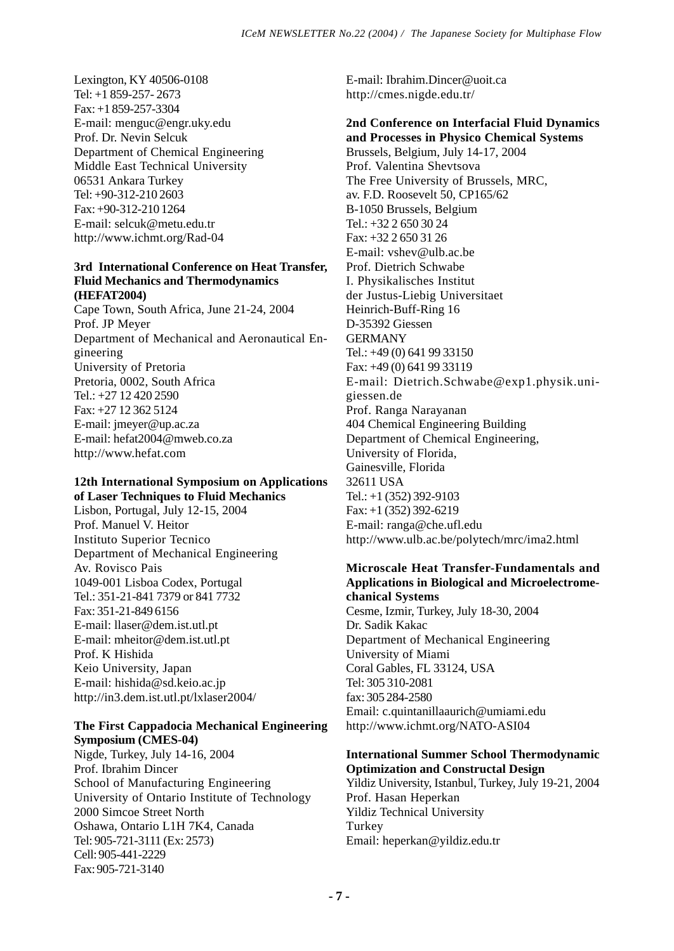Lexington, KY 40506-0108 Tel: +1 859-257- 2673 Fax: +1 859-257-3304 E-mail: menguc@engr.uky.edu Prof. Dr. Nevin Selcuk Department of Chemical Engineering Middle East Technical University 06531 Ankara Turkey Tel: +90-312-210 2603 Fax: +90-312-210 1264 E-mail: selcuk@metu.edu.tr http://www.ichmt.org/Rad-04

### **3rd International Conference on Heat Transfer, Fluid Mechanics and Thermodynamics (HEFAT2004)**

Cape Town, South Africa, June 21-24, 2004 Prof. JP Meyer Department of Mechanical and Aeronautical Engineering University of Pretoria Pretoria, 0002, South Africa Tel.: +27 12 420 2590  $Fax \div 27$  12 362 5124 E-mail: jmeyer@up.ac.za E-mail: hefat2004@mweb.co.za http://www.hefat.com

# **12th International Symposium on Applications of Laser Techniques to Fluid Mechanics**

Lisbon, Portugal, July 12-15, 2004 Prof. Manuel V. Heitor Instituto Superior Tecnico Department of Mechanical Engineering Av. Rovisco Pais 1049-001 Lisboa Codex, Portugal Tel.: 351-21-841 7379 or 841 7732 Fax: 351-21-849 6156 E-mail: llaser@dem.ist.utl.pt E-mail: mheitor@dem.ist.utl.pt Prof. K Hishida Keio University, Japan E-mail: hishida@sd.keio.ac.jp http://in3.dem.ist.utl.pt/lxlaser2004/

# **The First Cappadocia Mechanical Engineering Symposium (CMES-04)**

Nigde, Turkey, July 14-16, 2004 Prof. Ibrahim Dincer School of Manufacturing Engineering University of Ontario Institute of Technology 2000 Simcoe Street North Oshawa, Ontario L1H 7K4, Canada Tel: 905-721-3111 (Ex: 2573) Cell: 905-441-2229 Fax: 905-721-3140

E-mail: Ibrahim.Dincer@uoit.ca http://cmes.nigde.edu.tr/

# **2nd Conference on Interfacial Fluid Dynamics and Processes in Physico Chemical Systems** Brussels, Belgium, July 14-17, 2004 Prof. Valentina Shevtsova The Free University of Brussels, MRC, av. F.D. Roosevelt 50, CP165/62 B-1050 Brussels, Belgium Tel.: +32 2 650 30 24 Fax: +32 2 650 31 26 E-mail: vshev@ulb.ac.be Prof. Dietrich Schwabe I. Physikalisches Institut der Justus-Liebig Universitaet Heinrich-Buff-Ring 16 D-35392 Giessen GERMANY Tel.: +49 (0) 641 99 33150 Fax: +49 (0) 641 99 33119 E-mail: Dietrich.Schwabe@exp1.physik.unigiessen.de Prof. Ranga Narayanan 404 Chemical Engineering Building Department of Chemical Engineering, University of Florida, Gainesville, Florida 32611 USA Tel.: +1 (352) 392-9103 Fax: +1 (352) 392-6219 E-mail: ranga@che.ufl.edu http://www.ulb.ac.be/polytech/mrc/ima2.html

## **Microscale Heat Transfer-Fundamentals and Applications in Biological and Microelectromechanical Systems**

Cesme, Izmir, Turkey, July 18-30, 2004 Dr. Sadik Kakac Department of Mechanical Engineering University of Miami Coral Gables, FL 33124, USA Tel: 305 310-2081 fax: 305 284-2580 Email: c.quintanillaaurich@umiami.edu http://www.ichmt.org/NATO-ASI04

# **International Summer School Thermodynamic Optimization and Constructal Design**

Yildiz University, Istanbul, Turkey, July 19-21, 2004 Prof. Hasan Heperkan Yildiz Technical University Turkey Email: heperkan@yildiz.edu.tr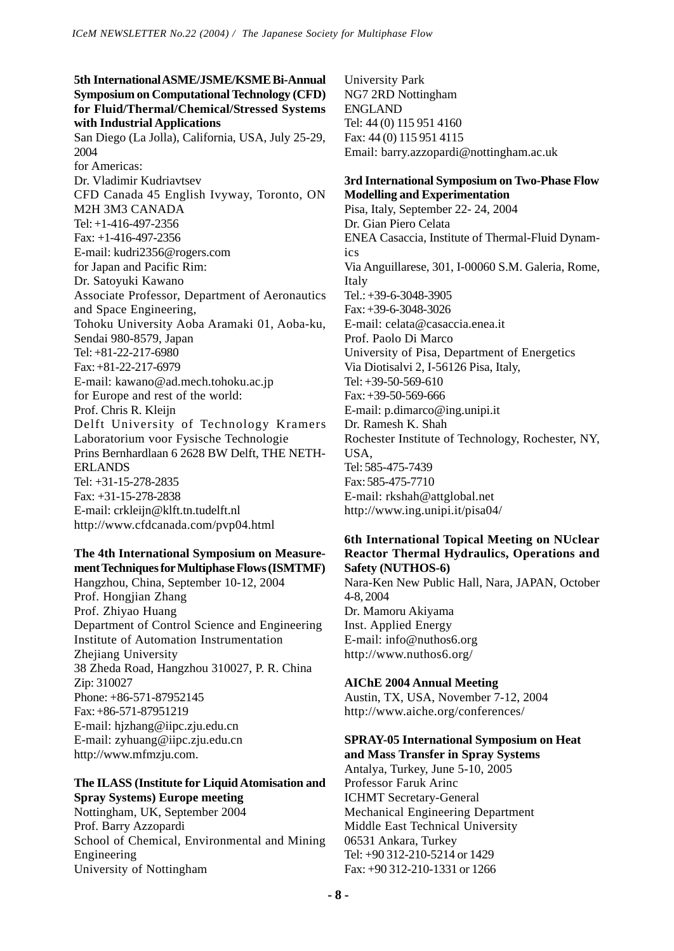# **5th International ASME/JSME/KSME Bi-Annual Symposium on Computational Technology (CFD) for Fluid/Thermal/Chemical/Stressed Systems with Industrial Applications** San Diego (La Jolla), California, USA, July 25-29, 2004 for Americas: Dr. Vladimir Kudriavtsev CFD Canada 45 English Ivyway, Toronto, ON M2H 3M3 CANADA Tel: +1-416-497-2356 Fax: +1-416-497-2356 E-mail: kudri2356@rogers.com for Japan and Pacific Rim: Dr. Satoyuki Kawano Associate Professor, Department of Aeronautics and Space Engineering, Tohoku University Aoba Aramaki 01, Aoba-ku, Sendai 980-8579, Japan Tel: +81-22-217-6980 Fax: +81-22-217-6979 E-mail: kawano@ad.mech.tohoku.ac.jp for Europe and rest of the world: Prof. Chris R. Kleijn Delft University of Technology Kramers Laboratorium voor Fysische Technologie Prins Bernhardlaan 6 2628 BW Delft, THE NETH-ERLANDS Tel: +31-15-278-2835 Fax: +31-15-278-2838 E-mail: crkleijn@klft.tn.tudelft.nl http://www.cfdcanada.com/pvp04.html

# **The 4th International Symposium on Measurement Techniques for Multiphase Flows (ISMTMF)**

Hangzhou, China, September 10-12, 2004 Prof. Hongjian Zhang Prof. Zhiyao Huang Department of Control Science and Engineering Institute of Automation Instrumentation Zhejiang University 38 Zheda Road, Hangzhou 310027, P. R. China Zip: 310027 Phone: +86-571-87952145 Fax: +86-571-87951219 E-mail: hjzhang@iipc.zju.edu.cn E-mail: zyhuang@iipc.zju.edu.cn http://www.mfmzju.com.

### **The ILASS (Institute for Liquid Atomisation and Spray Systems) Europe meeting** Nottingham, UK, September 2004

Prof. Barry Azzopardi School of Chemical, Environmental and Mining Engineering University of Nottingham

University Park NG7 2RD Nottingham ENGLAND Tel: 44 (0) 115 951 4160 Fax: 44 (0) 115 951 4115 Email: barry.azzopardi@nottingham.ac.uk

### **3rd International Symposium on Two-Phase Flow Modelling and Experimentation**

Pisa, Italy, September 22- 24, 2004 Dr. Gian Piero Celata ENEA Casaccia, Institute of Thermal-Fluid Dynamics Via Anguillarese, 301, I-00060 S.M. Galeria, Rome, Italy Tel.: +39-6-3048-3905 Fax: +39-6-3048-3026 E-mail: celata@casaccia.enea.it Prof. Paolo Di Marco University of Pisa, Department of Energetics Via Diotisalvi 2, I-56126 Pisa, Italy, Tel:  $+39-50-569-610$ Fax: +39-50-569-666 E-mail: p.dimarco@ing.unipi.it Dr. Ramesh K. Shah Rochester Institute of Technology, Rochester, NY, USA, Tel: 585-475-7439 Fax: 585-475-7710 E-mail: rkshah@attglobal.net http://www.ing.unipi.it/pisa04/

# **6th International Topical Meeting on NUclear Reactor Thermal Hydraulics, Operations and Safety (NUTHOS-6)**

Nara-Ken New Public Hall, Nara, JAPAN, October 4-8, 2004 Dr. Mamoru Akiyama Inst. Applied Energy E-mail: info@nuthos6.org http://www.nuthos6.org/

# **AIChE 2004 Annual Meeting**

Austin, TX, USA, November 7-12, 2004 http://www.aiche.org/conferences/

# **SPRAY-05 International Symposium on Heat and Mass Transfer in Spray Systems**

Antalya, Turkey, June 5-10, 2005 Professor Faruk Arinc ICHMT Secretary-General Mechanical Engineering Department Middle East Technical University 06531 Ankara, Turkey Tel: +90 312-210-5214 or 1429 Fax: +90 312-210-1331 or 1266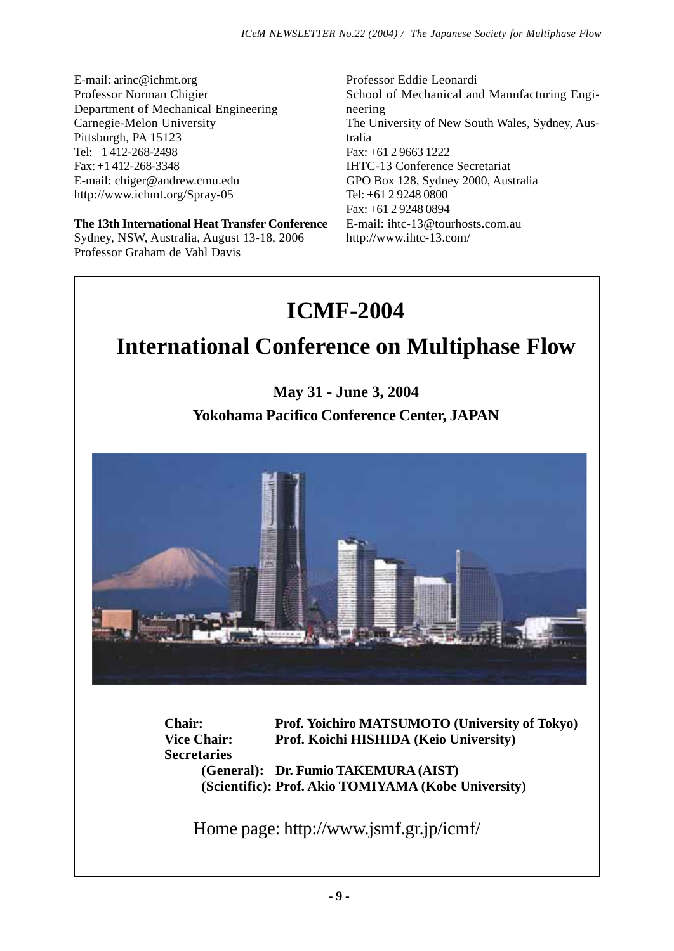E-mail: arinc@ichmt.org Professor Norman Chigier Department of Mechanical Engineering Carnegie-Melon University Pittsburgh, PA 15123 Tel: +1 412-268-2498 Fax: +1 412-268-3348 E-mail: chiger@andrew.cmu.edu http://www.ichmt.org/Spray-05

**The 13th International Heat Transfer Conference** Sydney, NSW, Australia, August 13-18, 2006 Professor Graham de Vahl Davis

Professor Eddie Leonardi School of Mechanical and Manufacturing Engineering The University of New South Wales, Sydney, Australia Fax: +61 2 9663 1222 IHTC-13 Conference Secretariat GPO Box 128, Sydney 2000, Australia Tel: +61 2 9248 0800 Fax: +61 2 9248 0894 E-mail: ihtc-13@tourhosts.com.au http://www.ihtc-13.com/

# **ICMF-2004**

# **International Conference on Multiphase Flow**

**May 31 - June 3, 2004 Yokohama Pacifico Conference Center, JAPAN**



**Chair: Prof. Yoichiro MATSUMOTO (University of Tokyo) Vice Chair: Prof. Koichi HISHIDA (Keio University) Secretaries (General): Dr. Fumio TAKEMURA (AIST) (Scientific): Prof. Akio TOMIYAMA (Kobe University)**

Home page: http://www.jsmf.gr.jp/icmf/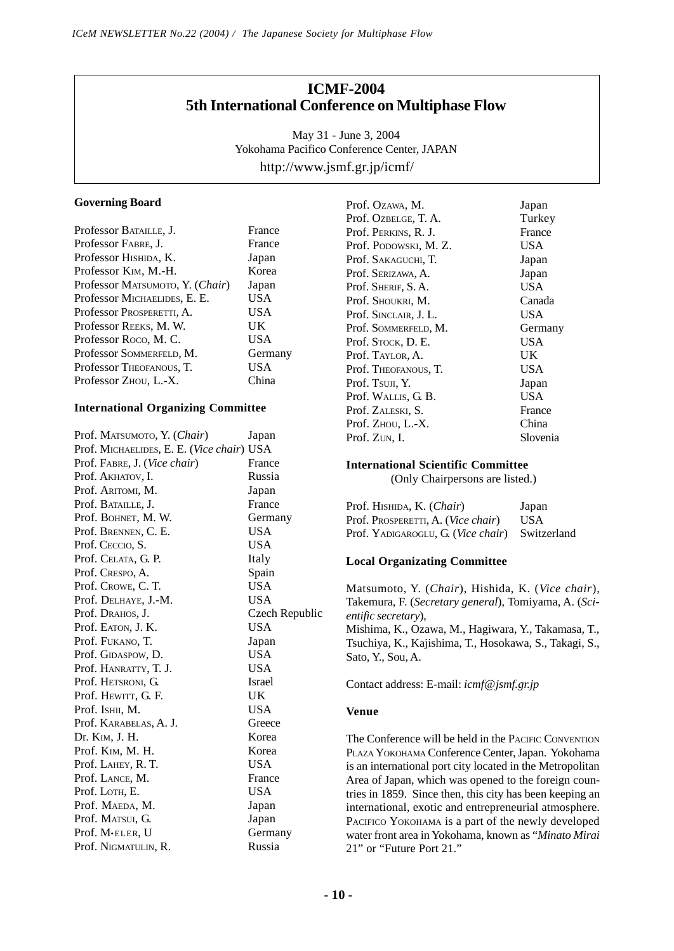# **ICMF-2004 5th International Conference on Multiphase Flow**

May 31 - June 3, 2004 Yokohama Pacifico Conference Center, JAPAN http://www.jsmf.gr.jp/icmf/

### **Governing Board**

| Professor BATAILLE, J.            | France     |
|-----------------------------------|------------|
| Professor FABRE, J.               | France     |
| Professor Hishida, K.             | Japan      |
| Professor K <sub>IM</sub> , M.-H. | Korea      |
| Professor MATSUMOTO, Y. (Chair)   | Japan      |
| Professor MICHAELIDES, E. E.      | USA        |
| Professor Prosperetti, A.         | <b>USA</b> |
| Professor REEKS, M. W.            | UK         |
| Professor Roco, M.C.              | <b>USA</b> |
| Professor SOMMERFELD, M.          | Germany    |
| Professor THEOFANOUS, T.          | USA        |
| Professor Zhou, L.-X.             | China      |

### **International Organizing Committee**

| Prof. MATSUMOTO, Y. (Chair)               | Japan          |
|-------------------------------------------|----------------|
| Prof. MICHAELIDES, E. E. (Vice chair) USA |                |
| Prof. FABRE, J. (Vice chair)              | France         |
| Prof. AKHATOV, I.                         | Russia         |
| Prof. Aritomi, M.                         | Japan          |
| Prof. BATAILLE, J.                        | France         |
| Prof. BOHNET, M. W.                       | Germany        |
| Prof. BRENNEN, C. E.                      | <b>USA</b>     |
| Prof. Ceccio, S.                          | <b>USA</b>     |
| Prof. CELATA, G. P.                       | Italy          |
| Prof. Crespo, A.                          | Spain          |
| Prof. Crowe, C. T.                        | <b>USA</b>     |
| Prof. DELHAYE, J.-M.                      | <b>USA</b>     |
| Prof. DRAHOS, J.                          | Czech Republic |
| Prof. EATON, J. K.                        | <b>USA</b>     |
| Prof. FUKANO, T.                          | Japan          |
| Prof. GIDASPOW, D.                        | <b>USA</b>     |
| Prof. HANRATTY, T. J.                     | <b>USA</b>     |
| Prof. HETSRONI, G.                        | <b>Israel</b>  |
| Prof. Hewitt, G. F.                       | UK             |
| Prof. Ishii, M.                           | USA            |
| Prof. KARABELAS, A. J.                    | Greece         |
| Dr. K <sub>IM</sub> , J. H.               | Korea          |
| Prof. KIM, M. H.                          | Korea          |
| Prof. LAHEY, R. T.                        | USA            |
| Prof. LANCE, M.                           | France         |
| Prof. LOTH, E.                            | <b>USA</b>     |
| Prof. MAEDA, M.                           | Japan          |
| Prof. MATSUI, G.                          | Japan          |
| Prof. M.ELER, U                           | Germany        |
| Prof. NIGMATULIN, R.                      | Russia         |

Prof. Ozawa, M. Japan Prof. Ozbelge, T. A. Turkey Prof. Perkins, R. J. France<br>Prof. Podowski. M. Z. USA Prof. PODOWSKI, M.Z. Prof. SAKAGUCHI, T. Japan<br>Prof. Serizawa, A. Japan Prof. SERIZAWA, A. Prof. SHERIF, S. A. USA Prof. Shoukri, M. Canada Prof. SINCLAIR, J. L. USA<br>Prof. SOMMERFELD, M. Germany Prof. SOMMERFELD, M. Prof. Stock, D. E. USA Prof. TAYLOR, A. UK Prof. Theofanous, T. **USA** Prof. Tsun, Y. Japan Prof. WALLIS, G. B. USA Prof. ZALESKI, S. Prof. ZHOU, L.-X. China Prof. ZUN, I. Slovenia

### **International Scientific Committee**

(Only Chairpersons are listed.)

| Prof. Hishida, K. (Chair)                      | Japan |
|------------------------------------------------|-------|
| Prof. Prosperetti, A. ( <i>Vice chair</i> )    | USA   |
| Prof. YADIGAROGLU, G. (Vice chair) Switzerland |       |

### **Local Organizating Committee**

Matsumoto, Y. (*Chair*), Hishida, K. (*Vice chair*), Takemura, F. (*Secretary general*), Tomiyama, A. (*Scientific secretary*),

Mishima, K., Ozawa, M., Hagiwara, Y., Takamasa, T., Tsuchiya, K., Kajishima, T., Hosokawa, S., Takagi, S., Sato, Y., Sou, A.

Contact address: E-mail: *icmf@jsmf.gr.jp*

### **Venue**

The Conference will be held in the PACIFIC CONVENTION PLAZA YOKOHAMA Conference Center, Japan. Yokohama is an international port city located in the Metropolitan Area of Japan, which was opened to the foreign countries in 1859. Since then, this city has been keeping an international, exotic and entrepreneurial atmosphere. PACIFICO YOKOHAMA is a part of the newly developed water front area in Yokohama, known as "*Minato Mirai* 21" or "Future Port 21."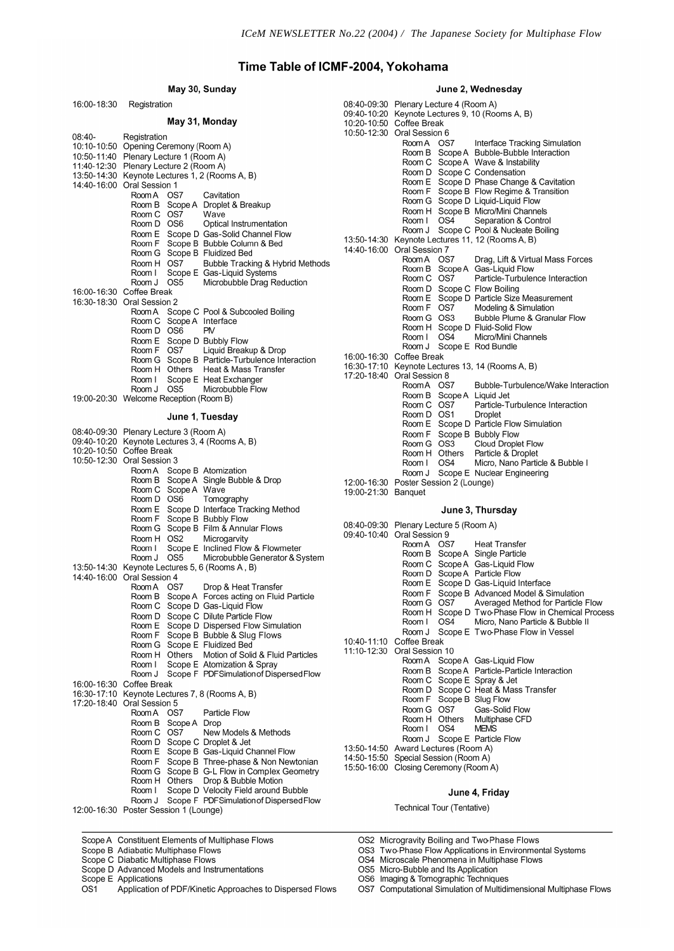# Time Table of ICMF-2004, Yokohama

### May 30, Sunday

### June 2, Wednesday

| 16:00-18:30 | Registration                                                                         |                     | 08:40-09:30 Plenary Lecture 4 (Room A)                        |
|-------------|--------------------------------------------------------------------------------------|---------------------|---------------------------------------------------------------|
|             |                                                                                      |                     | 09:40-10:20 Keynote Lectures 9, 10 (Rooms A, B)               |
|             | May 31, Monday                                                                       |                     | 10:20-10:50 Coffee Break                                      |
| 08:40-      | Registration                                                                         |                     | 10:50-12:30 Oral Session 6                                    |
|             | 10:10-10:50 Opening Ceremony (Room A)                                                |                     | Room A OS7<br>Interface Tracking Simulation                   |
|             | 10:50-11:40 Plenary Lecture 1 (Room A)                                               |                     | Room B Scope A Bubble-Bubble Interaction                      |
|             | 11:40-12:30 Plenary Lecture 2 (Room A)                                               |                     | Room C Scope A Wave & Instability                             |
|             | 13:50-14:30 Keynote Lectures 1, 2 (Rooms A, B)                                       |                     | Room D Scope C Condensation                                   |
|             | 14:40-16:00 Oral Session 1                                                           |                     | Room E Scope D Phase Change & Cavitation                      |
|             | Room A OS7<br>Cavitation                                                             |                     | Room F Scope B Flow Regime & Transition                       |
|             | Room B Scope A Droplet & Breakup                                                     |                     | Room G Scope D Liquid-Liquid Flow                             |
|             | Room C OS7<br>Wave                                                                   |                     | Room H Scope B Micro/Mini Channels                            |
|             | Room D OS6<br>Optical Instrumentation                                                |                     | Room   OS4<br>Separation & Control                            |
|             | Room E Scope D Gas-Solid Channel Flow                                                |                     | Room J Scope C Pool & Nucleate Boiling                        |
|             | Room F Scope B Bubble Column & Bed                                                   |                     | 13:50-14:30 Keynote Lectures 11, 12 (Rooms A, B)              |
|             | Room G Scope B Fluidized Bed                                                         |                     | 14:40-16:00 Oral Session 7                                    |
|             | Room H OS7<br>Bubble Tracking & Hybrid Methods                                       |                     | Room A OS7<br>Drag, Lift & Virtual Mass Forces                |
|             | Scope E Gas-Liquid Systems<br>Room I                                                 |                     | Room B Scope A Gas-Liquid Flow                                |
|             | Room J OS5<br>Microbubble Drag Reduction                                             |                     | Particle-Turbulence Interaction<br>Room C OS7                 |
|             | 16:00-16:30 Coffee Break                                                             |                     | Room D Scope C Flow Boiling                                   |
|             | 16:30-18:30 Oral Session 2                                                           |                     | Room E Scope D Particle Size Measurement                      |
|             | Room A Scope C Pool & Subcooled Boiling                                              |                     | Room F OS7<br>Modeling & Simulation                           |
|             | Room C Scope A Interface                                                             |                     | Room G OS3<br>Bubble Plume & Granular Flow                    |
|             | Room D OS6<br><b>PM</b>                                                              |                     | Room H Scope D Fluid-Solid Flow                               |
|             | Room E Scope D Bubbly Flow                                                           |                     | OS <sub>4</sub><br>Micro/Mini Channels<br>Room I              |
|             | Room F OS7<br>Liquid Breakup & Drop                                                  |                     | Room J Scope E Rod Bundle                                     |
|             | Room G Scope B Particle-Turbulence Interaction                                       |                     | 16:00-16:30 Coffee Break                                      |
|             | Room H Others Heat & Mass Transfer                                                   |                     | 16:30-17:10 Keynote Lectures 13, 14 (Rooms A, B)              |
|             | Room I Scope E Heat Exchanger                                                        |                     | 17:20-18:40 Oral Session 8                                    |
|             | Room J OS5<br>Microbubble Flow                                                       |                     | RoomA OS7<br>Bubble-Turbulence/Wake Interaction               |
|             | 19:00-20:30 Welcome Reception (Room B)                                               |                     | Room B Scope A Liquid Jet                                     |
|             |                                                                                      |                     | Room C OS7<br>Particle-Turbulence Interaction                 |
|             | June 1, Tuesday                                                                      |                     | Room D OS1<br><b>Droplet</b>                                  |
|             |                                                                                      |                     | Room E Scope D Particle Flow Simulation                       |
|             | 08:40-09:30 Plenary Lecture 3 (Room A)                                               |                     | Room F Scope B Bubbly Flow                                    |
|             | 09:40-10:20 Keynote Lectures 3, 4 (Rooms A, B)                                       |                     | Cloud Droplet Flow<br>Room G OS3                              |
|             | 10:20-10:50 Coffee Break                                                             |                     | Particle & Droplet<br>Room H Others                           |
|             | 10:50-12:30 Oral Session 3                                                           |                     | Micro, Nano Particle & Bubble I<br>OS4<br>Room I              |
|             | Room A Scope B Atomization                                                           |                     | Room J Scope E Nuclear Engineering                            |
|             | Room B Scope A Single Bubble & Drop                                                  |                     | 12:00-16:30 Poster Session 2 (Lounge)                         |
|             | Room C Scope A Wave                                                                  | 19:00-21:30 Banquet |                                                               |
|             | Room D OS6<br>Tomography                                                             |                     |                                                               |
|             | Room E Scope D Interface Tracking Method                                             |                     | June 3, Thursday                                              |
|             | Room F Scope B Bubbly Flow                                                           |                     | 08:40-09:30 Plenary Lecture 5 (Room A)                        |
|             | Room G Scope B Film & Annular Flows                                                  |                     | 09:40-10:40 Oral Session 9                                    |
|             | Room H OS2<br>Microgarvity                                                           |                     | Room A OS7<br><b>Heat Transfer</b>                            |
|             | Scope E Inclined Flow & Flowmeter<br>Room I                                          |                     | Room B Scope A Single Particle                                |
|             | Room J 0S5<br>Microbubble Generator & System                                         |                     | Room C Scope A Gas-Liquid Flow                                |
|             | 13:50-14:30 Keynote Lectures 5, 6 (Rooms A, B)                                       |                     | Room D Scope A Particle Flow                                  |
|             | 14:40-16:00 Oral Session 4                                                           |                     | Room E Scope D Gas-Liquid Interface                           |
|             | Room A OS7<br>Drop & Heat Transfer<br>Room B Scope A Forces acting on Fluid Particle |                     | Room F Scope B Advanced Model & Simulation                    |
|             |                                                                                      |                     | Room G OS7<br>Averaged Method for Particle Flow               |
|             | Room C Scope D Gas-Liquid Flow<br>Room D Scope C Dilute Particle Flow                |                     | Room H Scope D Two-Phase Flow in Chemical Process             |
|             |                                                                                      |                     | OS <sub>4</sub><br>Micro. Nano Particle & Bubble II<br>Room I |
|             | Room E Scope D Dispersed Flow Simulation<br>Room F Scope B Bubble & Slug Flows       |                     | Room J Scope E Two-Phase Flow in Vessel                       |
|             | Room G Scope E Fluidized Bed                                                         |                     | 10:40-11:10 Coffee Break                                      |
|             |                                                                                      |                     | 11:10-12:30 Oral Session 10                                   |
|             | Room H Others Motion of Solid & Fluid Particles                                      |                     | Room A Scope A Gas-Liquid Flow                                |
|             | Room I Scope E Atomization & Spray                                                   |                     | Room B Scope A Particle-Particle Interaction                  |
|             | Room J Scope F PDFSimulation of Dispersed Flow                                       |                     | Room C Scope E Spray & Jet                                    |
|             | 16:00-16:30 Coffee Break                                                             |                     | Room D Scope C Heat & Mass Transfer                           |
|             | 16:30-17:10 Keynote Lectures 7, 8 (Rooms A, B)<br>17:20-18:40 Oral Session 5         |                     | Room F Scope B Slug Flow                                      |
|             | Room A OS7<br>Particle Flow                                                          |                     | Room G OS7<br>Gas-Solid Flow                                  |
|             |                                                                                      |                     | Room H Others<br>Multiphase CFD                               |
|             | Room B Scope A Drop<br>Room C OS7<br>New Models & Methods                            |                     | Room I<br>OS <sub>4</sub><br><b>MEMS</b>                      |
|             | Room D Scope C Droplet & Jet                                                         |                     | Room J Scope E Particle Flow                                  |
|             | Room E Scope B Gas-Liquid Channel Flow                                               |                     | 13:50-14:50 Award Lectures (Room A)                           |
|             | Room F Scope B Three-phase & Non Newtonian                                           |                     | 14:50-15:50 Special Session (Room A)                          |
|             | Room G Scope B G-L Flow in Complex Geometry                                          |                     | 15:50-16:00 Closing Ceremony (Room A)                         |
|             | Room H Others Drop & Bubble Motion                                                   |                     |                                                               |
|             | Scope D Velocity Field around Bubble<br>Room I                                       |                     |                                                               |
|             | Room J Scope F PDFSimulation of Dispersed Flow                                       |                     | June 4, Friday                                                |
|             | 12:00-16:30 Poster Session 1 (Lounge)                                                |                     | Technical Tour (Tentative)                                    |
|             |                                                                                      |                     |                                                               |

Scope A Constituent Elements of Multiphase Flows

- Scope B Adiabatic Multiphase Flows<br>Scope C Diabatic Multiphase Flows<br>Scope C Diabatic Multiphase Flows<br>Scope D Advanced Models and Instrumentations
- 
- Scope B Advanced M<br>Scope E Applications<br>OS1 Application c Application of PDF/Kinetic Approaches to Dispersed Flows

OS5 Micro-Bubble and Its Application<br>OS6 Micro-Bubble and Its Application<br>OS6 Imaging & Tomographic Techniques<br>OS7 Computational Simulation of Multidimensional Multiphase Flows

OS3 Two-Phase Flow Applications in Environmental Systems<br>OS4 Microscale Phenomena in Multiphase Flows

OS2 Microgravity Boiling and Two-Phase Flows